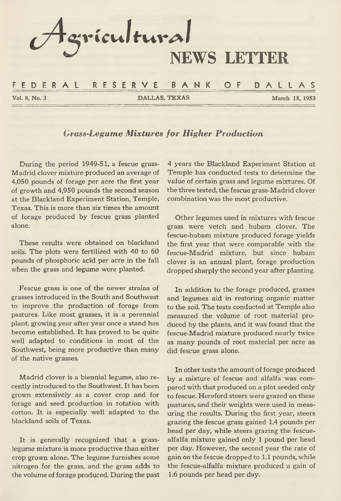

*Grass-Legume Mixtures for Higher Production*

**During the period 1949-51, a fescue grass-Madrid clover mixture produced an average of 4,050 pounds of forage per acre the first year of growth and 4,950 pounds the second season at the Blackland Experiment Station, Temple, Texas. This is more than six times the amount of forage produced by fescue grass planted alone.**

**These results were obtained on blackland soils. The plots were fertilized with 40 to 60 pounds of phosphoric acid per acre in the fall when the grass and legume were planted.**

**Fescue grass is one of the newer strains of grasses introduced in the South and Southwest to improve the production of forage from pastures. Like most grasses, it is a perennial plant, growing year after year once a stand has become established. It has proved to be quite well adapted to conditions in most of the Southwest, being more productive than many of the native grasses.**

**Madrid clover is a biennial legume, also recently introduced to the Southwest. It has been grown extensively as a cover crop and for forage and seed production in rotation with cotton. It is especially well adapted to the blackland soils of Texas.**

**It is generally recognized that a grasslegume mixture is more productive than either crop grown alone. The legume furnishes some nitrogen for the grass, and the grass adds to the volume of forage produced. During the past**

**4 years the Blackland Experiment Station at Temple has conducted tests to determine the value of certain grass and legume mixtures. Of the three tested, the fescue grass-Madrid clover combination was the most productive.**

**Other legumes used in mixtures with fescue grass were vetch and hubam clover. The fescue-hubam mixture produced forage yields the first year that were comparable with the fescue-Madrid mixture, but since hubam clover is an annual plant, forage production dropped sharply the second year after planting.**

**In addition to the forage produced, grasses and legumes aid in restoring organic matter to the soil. The tests conducted at Temple also measured the volume of root material produced by the plants, and it was found that the fescue-Madrid mixture produced nearly twice as many pounds of root material per acre as did fescue grass alone.**

**In other tests the amount of forage produced by a mixture of fescue and alfalfa was compared with that produced on a plot seeded only to fescue. Hereford steers were grazed on these pastures, and their weights were used in measuring the results. During the first year, steers grazing the fescue grass gained 1.4 pounds per head per day, while steers grazing the fescuealfalfa mixture gained only 1 pound per head per day. However, the second year the rate of gain on the fescue dropped to 1.1 pounds, while the fescue-alfalfa mixture produced a gain of 1.6 pounds per head per day.**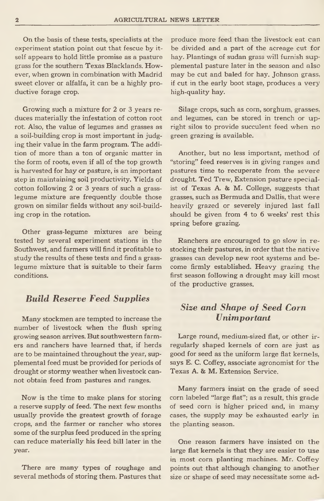**On the basis of these tests, specialists at the experiment station point out that fescue by itself appears to hold little promise as a pasture grass for the southern Texas Blacklands. However, when grown in combination with Madrid sweet clover or alfalfa, it can be a highly productive forage crop.**

**Growing such a mixture for 2 or 3 years reduces materially the infestation of cotton root rot. Also, the value of legumes and grasses as a soil-building crop is most important in judging their value in the farm program. The addition of more than a ton of organic matter in the form of roots, even if all of the top growth is harvested for hay or pasture, is an important step in maintaining soil productivity. Yields of cotton following 2 or 3 years of such a grasslegume mixture are frequently double those grown on similar fields without any soil-building crop in the rotation.**

**Other grass-legume mixtures are being tested by several experiment stations in the Southwest, and farmers will find it profitable to study the results of these tests and find a grasslegume mixture that is suitable to their farm conditions.**

## *Build Reserve Feed Supplies*

**Many stockmen are tempted to increase the number of livestock when the flush spring growing season arrives. But southwestern farmers and ranchers have learned that, if herds are to be maintained throughout the year, supplemental feed must be provided for periods of drought or stormy weather when livestock cannot obtain feed from pastures and ranges.**

**Now is the time to make plans for storing a reserve supply of feed. The next few months usually provide the greatest growth of forage crops, and the farmer or rancher who stores some of the surplus feed produced in the spring can reduce materially his feed bill later in the year.**

**There are many types of roughage and several methods of storing them. Pastures that** **produce more feed than the livestock eat can be divided and a part of the acreage cut for hay. Plantings of Sudan grass will furnish supplemental pasture later in the season and also may be cut and baled for hay. Johnson grass, if cut in the early boot stage, produces a very high-quality hay.**

**Silage crops, such as corn, sorghum, grasses, and legumes, can be stored in trench or upright silos to provide succulent feed when no green grazing is available.**

**Another, but no less important, method of "storing" feed reserves is in giving ranges and pastures time to recuperate from the severe drought. Ted Trew, Extension pasture specialist of Texas A. & M. College, suggests that grasses, such as Bermuda and Dallis, that were heavily grazed or severely injured last fall should be given from 4 to 6 weeks' rest this spring before grazing.**

**Ranchers are encouraged to go slow in re stocking their pastures, in order that the native grasses can develop new root systems and become firmly established. Heavy grazing the first season following a drought may kill most of the productive grasses.**

# *Size and Shape of Seed Corn Unimportant*

**Large round, medium-sized flat, or other irregularly shaped kernels of corn are just as good for seed as the uniform large flat kernels, says E. C. Coffey, associate agronomist for the Texas A. & M, Extension Service.**

**Many farmers insist on the grade of seed corn labeled "large flat"; as a result, this grade of seed corn is higher priced and, in many cases, the supply may be exhausted early in the planting season.**

**One reason farmers have insisted on the large flat kernels is that they are easier to use in most corn planting machines. Mr. Coffey points out that although changing to another size or shape of seed may necessitate some ad-**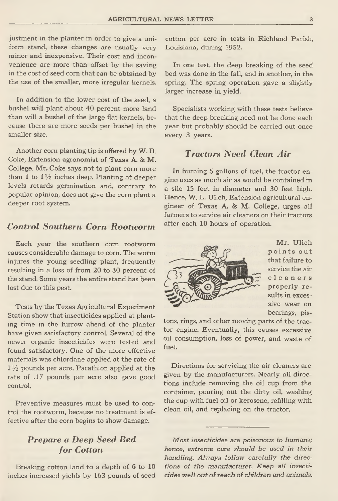**justment in the planter in order to give a uniform stand, these changes are usually very minor and inexpensive. Their cost and inconvenience are mbre than offset by the saving in the cost of seed corn that can be obtained by the use of the smaller, more irregular kernels.**

**In addition to the lower cost of the seed, a bushel will plant about 40 percent more land than will a bushel of the large flat kernels, because there are more seeds per bushel in the smaller size.**

**Another corn planting tip is offered by W. B. Coke, Extension agronomist of Texas A. & M. College. Mr. Coke says not to plant corn more than 1 to 1 V**2 **inches deep. Planting at deeper levels retards germination and, contrary to popular opinion, does not give the corn plant a deeper root system.**

# *Control Southern Corn Rootworm*

**Each year the southern corn rootworm causes considerable damage to corn. The worm injures the young seedling plant, frequently resulting in a loss of from 20 to 30 percent of the stand. Some years the entire stand has been lost due to this pest.**

**Tests by the Texas Agricultural Experiment Station show that insecticides applied at planting time in the furrow ahead of the planter have given satisfactory control. Several of the newer organic insecticides were tested and found satisfactory. One of the more effective materials was chlordane applied at the rate of 2** *V2* **pounds per acre. Parathion applied at the rate of .17 pounds per acre also gave good control.**

**Preventive measures must be used to control the rootworm, because no treatment is effective after the corn begins to show damage.**

# *Prepare a Deep Seed Bed for Cotton*

**Breaking cotton land to a depth of 6 to 10 inches increased yields by 163 pounds of seed** **cotton per acre in tests in Richland Parish, Louisiana, during 1952.**

**In one test, the deep breaking of the seed bed was done in the fall, and in another, in the spring. The spring operation gave a slightly larger increase in yield.**

**Specialists working with these tests believe that the deep breaking need not be done each year but probably should be carried out once every 3 years.**

# *Tractors Need Clean Air*

**In burning 5 gallons of fuel, the tractor engine uses as much air as would be contained in a silo 15 feet in diameter and 30 feet high. Hence, W. L. Ulich, Extension agricultural engineer of Texas A. & M. College, urges all farmers to service air cleaners on their tractors after each 10 hours of operation.**



**Mr. Ulich p o in ts o u t that failure to service the air cleaners properly results in excessive wear on bearings, pis-**

**tons, rings, and other moving parts of the tractor engine. Eventually, this causes excessive oil consumption, loss of power, and waste of fuel.**

**Directions for servicing the air cleaners are given by the manufacturers. Nearly all directions include removing the oil cup from the container, pouring out the dirty oil, washing the cup with fuel oil or kerosene, refilling with clean oil, and replacing on the tractor.**

*Most insecticides are poisonous to humans; hence, extreme care should he used in their handling. Always follow carefully the directions of the manufacturer. Keep all insecticides well out of reach of children and animals.*